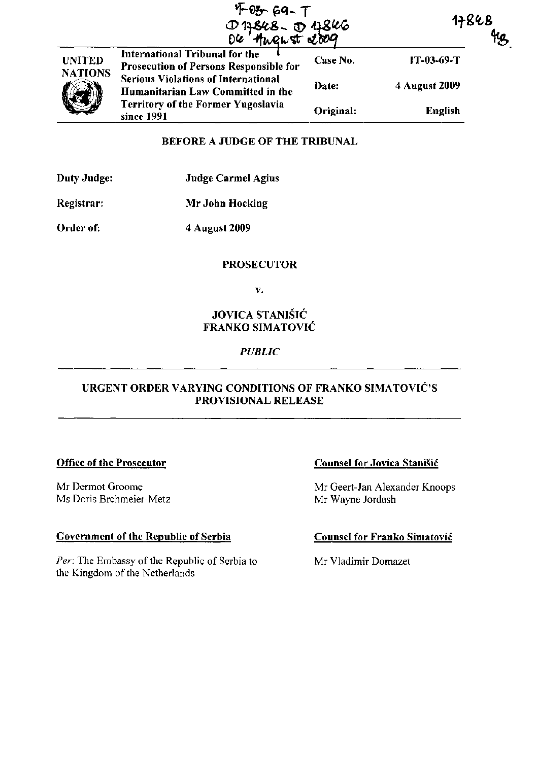|                | $4 - 69 - 7$<br>17848-01846<br>04 August 2009                                   | 17868     |                |  |
|----------------|---------------------------------------------------------------------------------|-----------|----------------|--|
| <b>UNITED</b>  | International Tribunal for the<br><b>Prosecution of Persons Responsible for</b> | Case No.  | $IT-03-69-T$   |  |
| <b>NATIONS</b> | <b>Serious Violations of International</b><br>Humanitarian Law Committed in the | Date:     | 4 August 2009  |  |
|                | <b>Territory of the Former Yugoslavia</b><br>since 1991                         | Original: | <b>English</b> |  |

### BEFORE A JUDGE OF THE TRIBUNAL

| Duty Judge: | <b>Judge Carmel Agius</b> |
|-------------|---------------------------|
|-------------|---------------------------|

Registrar: Mr John Hocking

Order of: 4 August 2009

## **PROSECUTOR**

v.

# JOVICA STANISIC FRANKO SIMATOVIC

## *PUBLIC*

## URGENT ORDER VARYING CONDITIONS OF FRANKO SIMATOVIC'S PROVISIONAL RELEASE

### Office of the Prosecutor

Mr Dermot Groome Ms Doris Brehmeier-Metz

# Government of the Republic of Serbia

*Per:* The Embassy of the Republic of Serbia to the Kingdom of the Netherlands

### Counsel for Jovica Stanisic

Mr Geert-Jan Alexander Knoops Mr Wayne Jordash

## Counsel for Franko Simatovic

Mr Vladimir Domazet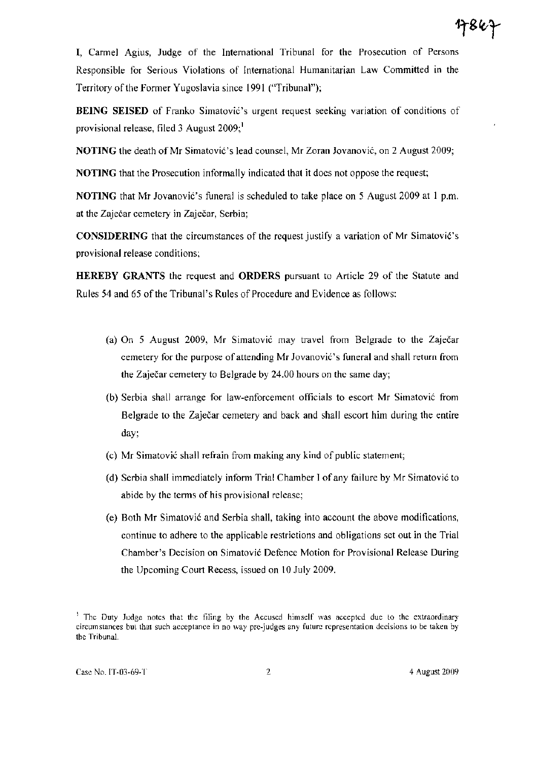**I,** Carmel Agius, Judge of the International Tribunal for the Prosecution of Persons Responsible for Serious Violations of International Humanitarian Law Committed in the Territory of the Former Yugoslavia since 1991 ("Tribunal");

BEING SEISED of Franko Simatović's urgent request seeking variation of conditions of provisional release, filed 3 August  $2009$ ;

NOTING the death of Mr Simatović's lead counsel, Mr Zoran Jovanović, on 2 August 2009;

NOTING that the Prosecution informally indicated that it does not oppose the request;

NOTING that Mr Jovanović's funeral is scheduled to take place on 5 August 2009 at 1 p.m. at the Zaječar cemetery in Zaječar, Serbia;

CONSIDERING that the circumstances of the request justify a variation of Mr Simatovi6's provisional release conditions;

HEREBY GRANTS the request and ORDERS pursuant to Article 29 of the Statute and Rules 54 and 65 of the Tribunal's Rules of Procedure and Evidence as follows:

- (a) On 5 August 2009, Mr Simatovi6 may travel from Belgrade to the Zajecar cemetery for the purpose of attending Mr Jovanović's funeral and shall return from the Zaječar cemetery to Belgrade by 24.00 hours on the same day;
- (b) Serbia shall arrange for law-enforcement officials to escort Mr Simatović from Belgrade to the Zaječar cemetery and back and shall escort him during the entire day;
- (c) Mr Simatović shall refrain from making any kind of public statement;
- (d) Serbia shall immediately inform Trial Chamber I of any failure by Mr Simatović to abide by the terms of his provisional release;
- (e) Both Mr Simatovi6 and Serbia shall, taking into account the above modifications, continue to adhere to the applicable restrictions and obligations set out in the Trial Chamber's Decision on Simatovi6 Defence Motion for Provisional Release During the Upcoming Court Recess, issued on 10 July 2009.

<sup>&</sup>lt;sup>1</sup> The Duty Judge notes that the filing by the Accused himself was accepted due to the extraordinary circumstances but that such acceptance in no way pre-judges any future representation decisions to be taken by the Tribunal.